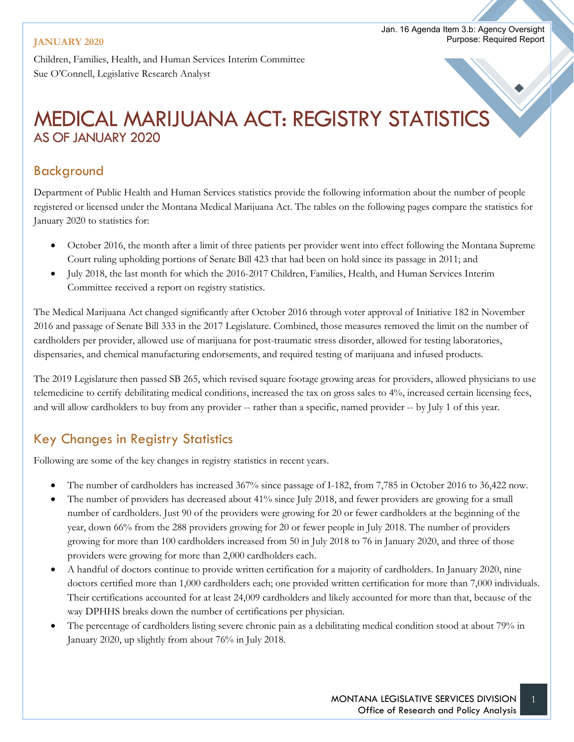#### **JANUARY 2020**

Children, Families, Health, and Human Services Interim Committee Sue O'Connell, Legislative Research Analyst

# MEDICAL MARIJUANA ACT: REGISTRY STATISTICS AS OF JANUARY 2020

### Background

Department of Public Health and Human Services statistics provide the following information about the number of people registered or licensed under the Montana Medical Marijuana Act. The tables on the following pages compare the statistics for January 2020 to statistics for:

- October 2016, the month after a limit of three patients per provider went into effect following the Montana Supreme Court ruling upholding portions of Senate Bill 423 that had been on hold since its passage in 2011; and
- July 2018, the last month for which the 2016-2017 Children, Families, Health, and Human Services Interim Committee received a report on registry statistics.

The Medical Marijuana Act changed significantly after October 2016 through voter approval of Initiative 182 in November 2016 and passage of Senate Bill 333 in the 2017 Legislature. Combined, those measures removed the limit on the number of cardholders per provider, allowed use of marijuana for post-traumatic stress disorder, allowed for testing laboratories, dispensaries, and chemical manufacturing endorsements, and required testing of marijuana and infused products.

The 2019 Legislature then passed SB 265, which revised square footage growing areas for providers, allowed physicians to use telemedicine to certify debilitating medical conditions, increased the tax on gross sales to 4%, increased certain licensing fees, and will allow cardholders to buy from any provider -- rather than a specific, named provider -- by July 1 of this year.

### Key Changes in Registry Statistics

Following are some of the key changes in registry statistics in recent years.

- The number of cardholders has increased 367% since passage of I-182, from 7,785 in October 2016 to 36,422 now.
- The number of providers has decreased about 41% since July 2018, and fewer providers are growing for a small number of cardholders. Just 90 of the providers were growing for 20 or fewer cardholders at the beginning of the year, down 66% from the 288 providers growing for 20 or fewer people in July 2018. The number of providers growing for more than 100 cardholders increased from 50 in July 2018 to 76 in January 2020, and three of those providers were growing for more than 2,000 cardholders each.
- A handful of doctors continue to provide written certification for a majority of cardholders. In January 2020, nine doctors certified more than 1,000 cardholders each; one provided written certification for more than 7,000 individuals. Their certifications accounted for at least 24,009 cardholders and likely accounted for more than that, because of the way DPHHS breaks down the number of certifications per physician.
- The percentage of cardholders listing severe chronic pain as a debilitating medical condition stood at about 79% in January 2020, up slightly from about 76% in July 2018.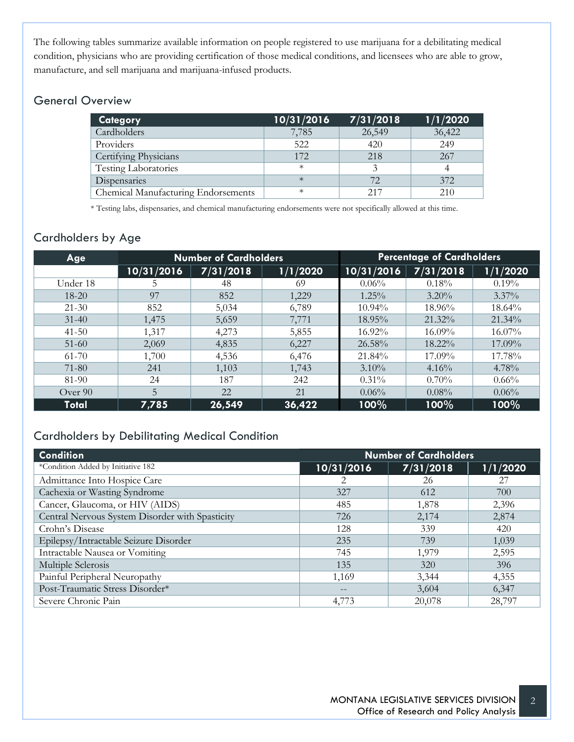The following tables summarize available information on people registered to use marijuana for a debilitating medical condition, physicians who are providing certification of those medical conditions, and licensees who are able to grow, manufacture, and sell marijuana and marijuana-infused products.

#### General Overview

| <b>Category</b>                     | 10/31/2016 | 7/31/2018 | 1/1/2020 |
|-------------------------------------|------------|-----------|----------|
| Cardholders                         | 7,785      | 26,549    | 36,422   |
| Providers                           | 522        | 420       | 249      |
| Certifying Physicians               | 172        | 218       | 267      |
| <b>Testing Laboratories</b>         | $\ast$     |           |          |
| Dispensaries                        | $\ast$     | 72        | 372      |
| Chemical Manufacturing Endorsements | $\ast$     | 217       | 210      |

\* Testing labs, dispensaries, and chemical manufacturing endorsements were not specifically allowed at this time.

### Cardholders by Age

| Age          |            | <b>Number of Cardholders</b> |          | <b>Percentage of Cardholders</b> |           |           |  |
|--------------|------------|------------------------------|----------|----------------------------------|-----------|-----------|--|
|              | 10/31/2016 | 7/31/2018                    | 1/1/2020 | 10/31/2016                       | 7/31/2018 | 1/1/2020  |  |
| Under 18     |            | 48                           | 69       | $0.06\%$                         | 0.18%     | 0.19%     |  |
| $18 - 20$    | 97         | 852                          | 1,229    | $1.25\%$                         | $3.20\%$  | $3.37\%$  |  |
| $21 - 30$    | 852        | 5,034                        | 6,789    | $10.94\%$                        | $18.96\%$ | 18.64%    |  |
| $31 - 40$    | 1,475      | 5,659                        | 7,771    | 18.95%                           | 21.32%    | $21.34\%$ |  |
| $41 - 50$    | 1,317      | 4,273                        | 5,855    | 16.92%                           | $16.09\%$ | 16.07%    |  |
| $51-60$      | 2,069      | 4,835                        | 6,227    | 26.58%                           | 18.22%    | 17.09%    |  |
| $61 - 70$    | 1,700      | 4,536                        | 6,476    | 21.84%                           | 17.09%    | 17.78%    |  |
| 71-80        | 241        | 1,103                        | 1,743    | $3.10\%$                         | $4.16\%$  | 4.78%     |  |
| 81-90        | 24         | 187                          | 242      | $0.31\%$                         | $0.70\%$  | $0.66\%$  |  |
| Over 90      | 5          | 22                           | 21       | $0.06\%$                         | $0.08\%$  | $0.06\%$  |  |
| <b>Total</b> | 7,785      | 26,549                       | 36,422   | 100%                             | 100%      | 100%      |  |

#### Cardholders by Debilitating Medical Condition

| <b>Condition</b>                                | <b>Number of Cardholders</b> |           |          |  |
|-------------------------------------------------|------------------------------|-----------|----------|--|
| *Condition Added by Initiative 182              | 10/31/2016                   | 7/31/2018 | 1/1/2020 |  |
| Admittance Into Hospice Care                    | 2                            | 26        | 27       |  |
| Cachexia or Wasting Syndrome                    | 327                          | 612       | 700      |  |
| Cancer, Glaucoma, or HIV (AIDS)                 | 485                          | 1,878     | 2,396    |  |
| Central Nervous System Disorder with Spasticity | 726                          | 2,174     | 2,874    |  |
| Crohn's Disease                                 | 128                          | 339       | 420      |  |
| Epilepsy/Intractable Seizure Disorder           | 235                          | 739       | 1,039    |  |
| Intractable Nausea or Vomiting                  | 745                          | 1,979     | 2,595    |  |
| Multiple Sclerosis                              | 135                          | 320       | 396      |  |
| Painful Peripheral Neuropathy                   | 1,169                        | 3,344     | 4,355    |  |
| Post-Traumatic Stress Disorder*                 |                              | 3,604     | 6,347    |  |
| Severe Chronic Pain                             | 4,773                        | 20,078    | 28,797   |  |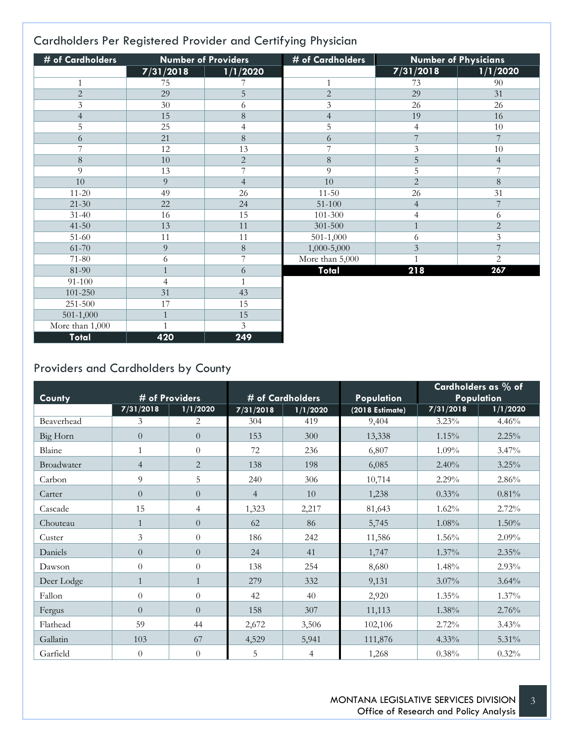### Cardholders Per Registered Provider and Certifying Physician

| # of Cardholders | <b>Number of Providers</b> |                | # of Cardholders | <b>Number of Physicians</b> |                |
|------------------|----------------------------|----------------|------------------|-----------------------------|----------------|
|                  | 7/31/2018                  | 1/1/2020       |                  | 7/31/2018                   | 1/1/2020       |
| 1                | 75                         |                | 1                | 73                          | 90             |
| $\overline{2}$   | 29                         | 5              | $\overline{2}$   | 29                          | 31             |
| 3                | 30                         | 6              | 3                | 26                          | 26             |
| $\overline{4}$   | 15                         | $\,8\,$        | $\overline{4}$   | 19                          | 16             |
| 5                | 25                         | 4              | 5                | 4                           | 10             |
| 6                | 21                         | $\,8\,$        | 6                | $\overline{7}$              | 7              |
| 7                | 12                         | 13             | 7                | 3                           | 10             |
| $\,8\,$          | 10                         | $\overline{2}$ | $\,8\,$          | 5                           | $\overline{4}$ |
| 9                | 13                         | 7              | 9                | 5                           | 7              |
| 10               | 9                          | $\overline{4}$ | 10               | $\mathbf{2}$                | 8              |
| $11 - 20$        | 49                         | 26             | $11 - 50$        | 26                          | 31             |
| $21 - 30$        | 22                         | 24             | $51 - 100$       | $\overline{4}$              | $\overline{7}$ |
| $31 - 40$        | 16                         | 15             | 101-300          | $\overline{4}$              | 6              |
| $41 - 50$        | 13                         | 11             | 301-500          | $\mathbf{1}$                | $\overline{c}$ |
| 51-60            | 11                         | 11             | $501 - 1,000$    | 6                           | $\overline{3}$ |
| 61-70            | 9                          | $\,8\,$        | 1,000-5,000      | $\mathfrak{Z}$              | 7              |
| 71-80            | 6                          | 7              | More than 5,000  | $\mathbf{1}$                | $\overline{2}$ |
| 81-90            | $\overline{1}$             | 6              | Total            | 218                         | 267            |
| 91-100           | $\overline{4}$             |                |                  |                             |                |
| 101-250          | 31                         | 43             |                  |                             |                |
| 251-500          | 17                         | 15             |                  |                             |                |
| $501 - 1,000$    | $\mathbf{1}$               | 15             |                  |                             |                |
| More than 1,000  | $\mathbf{1}$               | 3              |                  |                             |                |
| Total            | 420                        | 249            |                  |                             |                |

## Providers and Cardholders by County

| County     |                | # of Providers   | # of Cardholders |          | Population      | Cardholders as % of<br>Population |          |
|------------|----------------|------------------|------------------|----------|-----------------|-----------------------------------|----------|
|            | 7/31/2018      | 1/1/2020         | 7/31/2018        | 1/1/2020 | (2018 Estimate) | 7/31/2018                         | 1/1/2020 |
| Beaverhead | 3              | 2                | 304              | 419      | 9,404           | 3.23%                             | 4.46%    |
| Big Horn   | $\overline{0}$ | $\theta$         | 153              | 300      | 13,338          | 1.15%                             | 2.25%    |
| Blaine     | $\mathbf{1}$   | $\theta$         | 72               | 236      | 6,807           | $1.09\%$                          | 3.47%    |
| Broadwater | $\overline{4}$ | $\overline{2}$   | 138              | 198      | 6,085           | 2.40%                             | 3.25%    |
| Carbon     | 9              | 5                | 240              | 306      | 10,714          | 2.29%                             | 2.86%    |
| Carter     | $\overline{0}$ | $\overline{0}$   | $\overline{4}$   | 10       | 1,238           | 0.33%                             | 0.81%    |
| Cascade    | 15             | $\overline{4}$   | 1,323            | 2,217    | 81,643          | 1.62%                             | 2.72%    |
| Chouteau   | $\mathbf{1}$   | $\overline{0}$   | 62               | 86       | 5,745           | 1.08%                             | 1.50%    |
| Custer     | 3              | $\theta$         | 186              | 242      | 11,586          | 1.56%                             | 2.09%    |
| Daniels    | $\overline{0}$ | $\boldsymbol{0}$ | 24               | 41       | 1,747           | 1.37%                             | 2.35%    |
| Dawson     | $\theta$       | $\boldsymbol{0}$ | 138              | 254      | 8,680           | 1.48%                             | 2.93%    |
| Deer Lodge | $\mathbf{1}$   | $\mathbf{1}$     | 279              | 332      | 9,131           | $3.07\%$                          | 3.64%    |
| Fallon     | $\theta$       | $\theta$         | 42               | 40       | 2,920           | 1.35%                             | 1.37%    |
| Fergus     | $\theta$       | $\overline{0}$   | 158              | 307      | 11,113          | 1.38%                             | 2.76%    |
| Flathead   | 59             | 44               | 2,672            | 3,506    | 102,106         | 2.72%                             | 3.43%    |
| Gallatin   | 103            | 67               | 4,529            | 5,941    | 111,876         | $4.33\%$                          | 5.31%    |
| Garfield   | $\theta$       | $\boldsymbol{0}$ | 5                | 4        | 1,268           | 0.38%                             | $0.32\%$ |